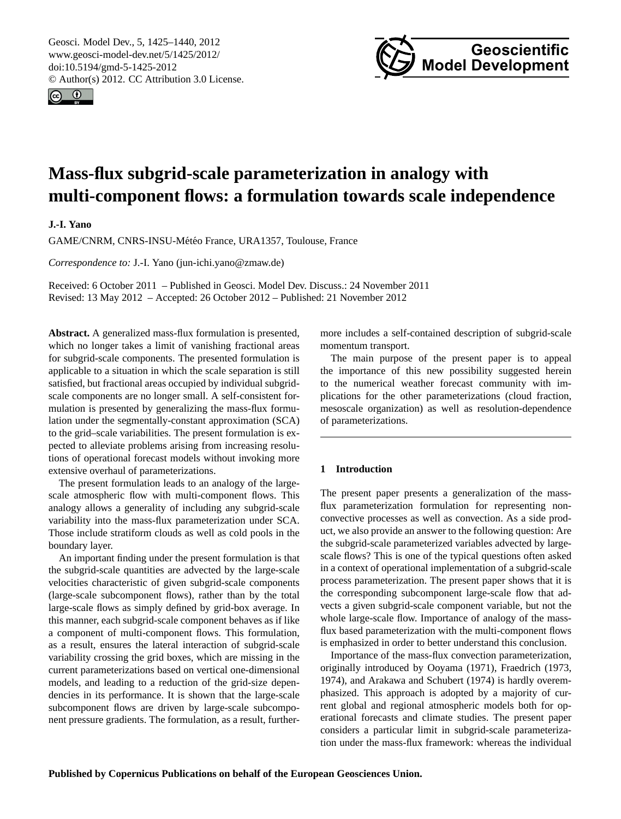<span id="page-0-0"></span>Geosci. Model Dev., 5, 1425–1440, 2012 www.geosci-model-dev.net/5/1425/2012/ doi:10.5194/gmd-5-1425-2012 © Author(s) 2012. CC Attribution 3.0 License.





# **Mass-flux subgrid-scale parameterization in analogy with multi-component flows: a formulation towards scale independence**

**J.-I. Yano**

GAME/CNRM, CNRS-INSU-Météo France, URA1357, Toulouse, France

*Correspondence to:* J.-I. Yano (jun-ichi.yano@zmaw.de)

Received: 6 October 2011 – Published in Geosci. Model Dev. Discuss.: 24 November 2011 Revised: 13 May 2012 – Accepted: 26 October 2012 – Published: 21 November 2012

**Abstract.** A generalized mass-flux formulation is presented, which no longer takes a limit of vanishing fractional areas for subgrid-scale components. The presented formulation is applicable to a situation in which the scale separation is still satisfied, but fractional areas occupied by individual subgridscale components are no longer small. A self-consistent formulation is presented by generalizing the mass-flux formulation under the segmentally-constant approximation (SCA) to the grid–scale variabilities. The present formulation is expected to alleviate problems arising from increasing resolutions of operational forecast models without invoking more extensive overhaul of parameterizations.

The present formulation leads to an analogy of the largescale atmospheric flow with multi-component flows. This analogy allows a generality of including any subgrid-scale variability into the mass-flux parameterization under SCA. Those include stratiform clouds as well as cold pools in the boundary layer.

An important finding under the present formulation is that the subgrid-scale quantities are advected by the large-scale velocities characteristic of given subgrid-scale components (large-scale subcomponent flows), rather than by the total large-scale flows as simply defined by grid-box average. In this manner, each subgrid-scale component behaves as if like a component of multi-component flows. This formulation, as a result, ensures the lateral interaction of subgrid-scale variability crossing the grid boxes, which are missing in the current parameterizations based on vertical one-dimensional models, and leading to a reduction of the grid-size dependencies in its performance. It is shown that the large-scale subcomponent flows are driven by large-scale subcomponent pressure gradients. The formulation, as a result, furthermore includes a self-contained description of subgrid-scale momentum transport.

The main purpose of the present paper is to appeal the importance of this new possibility suggested herein to the numerical weather forecast community with implications for the other parameterizations (cloud fraction, mesoscale organization) as well as resolution-dependence of parameterizations.

## **1 Introduction**

The present paper presents a generalization of the massflux parameterization formulation for representing nonconvective processes as well as convection. As a side product, we also provide an answer to the following question: Are the subgrid-scale parameterized variables advected by largescale flows? This is one of the typical questions often asked in a context of operational implementation of a subgrid-scale process parameterization. The present paper shows that it is the corresponding subcomponent large-scale flow that advects a given subgrid-scale component variable, but not the whole large-scale flow. Importance of analogy of the massflux based parameterization with the multi-component flows is emphasized in order to better understand this conclusion.

Importance of the mass-flux convection parameterization, originally introduced by [Ooyama](#page-14-0) [\(1971\)](#page-14-0), [Fraedrich](#page-14-1) [\(1973,](#page-14-1) [1974\)](#page-14-2), and [Arakawa and Schubert](#page-14-3) [\(1974\)](#page-14-3) is hardly overemphasized. This approach is adopted by a majority of current global and regional atmospheric models both for operational forecasts and climate studies. The present paper considers a particular limit in subgrid-scale parameterization under the mass-flux framework: whereas the individual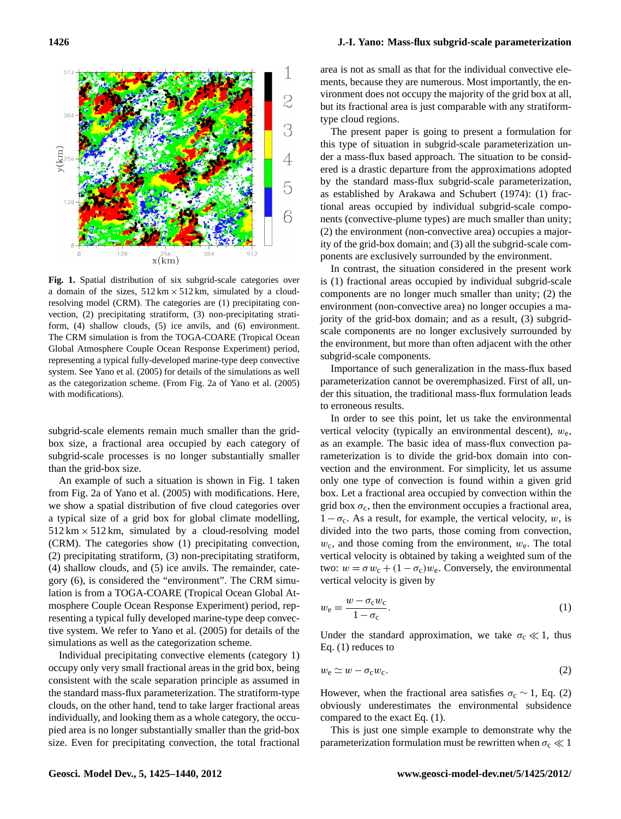

**Fig. 1.** Spatial distribution of six subgrid-scale categories over a domain of the sizes,  $512 \text{ km} \times 512 \text{ km}$ , simulated by a cloudresolving model (CRM). The categories are (1) precipitating convection, (2) precipitating stratiform, (3) non-precipitating stratiform, (4) shallow clouds, (5) ice anvils, and (6) environment. The CRM simulation is from the TOGA-COARE (Tropical Ocean Global Atmosphere Couple Ocean Response Experiment) period, representing a typical fully-developed marine-type deep convective system. See Yano et al. (2005) for details of the simulations as well as the categorization scheme. (From Fig. 2a of [Yano et al.](#page-15-0) [\(2005\)](#page-15-0) with modifications).

subgrid-scale elements remain much smaller than the gridbox size, a fractional area occupied by each category of subgrid-scale processes is no longer substantially smaller than the grid-box size.

An example of such a situation is shown in Fig. 1 taken from Fig. 2a of [Yano et al.](#page-15-0) [\(2005\)](#page-15-0) with modifications. Here, we show a spatial distribution of five cloud categories over a typical size of a grid box for global climate modelling,  $512 \text{ km} \times 512 \text{ km}$ , simulated by a cloud-resolving model (CRM). The categories show (1) precipitating convection, (2) precipitating stratiform, (3) non-precipitating stratiform, (4) shallow clouds, and (5) ice anvils. The remainder, category (6), is considered the "environment". The CRM simulation is from a TOGA-COARE (Tropical Ocean Global Atmosphere Couple Ocean Response Experiment) period, representing a typical fully developed marine-type deep convective system. We refer to [Yano et al.](#page-15-0) [\(2005\)](#page-15-0) for details of the simulations as well as the categorization scheme.

Individual precipitating convective elements (category 1) occupy only very small fractional areas in the grid box, being consistent with the scale separation principle as assumed in the standard mass-flux parameterization. The stratiform-type clouds, on the other hand, tend to take larger fractional areas individually, and looking them as a whole category, the occupied area is no longer substantially smaller than the grid-box size. Even for precipitating convection, the total fractional area is not as small as that for the individual convective elements, because they are numerous. Most importantly, the environment does not occupy the majority of the grid box at all, but its fractional area is just comparable with any stratiformtype cloud regions.

The present paper is going to present a formulation for this type of situation in subgrid-scale parameterization under a mass-flux based approach. The situation to be considered is a drastic departure from the approximations adopted by the standard mass-flux subgrid-scale parameterization, as established by [Arakawa and Schubert](#page-14-3) [\(1974\)](#page-14-3): (1) fractional areas occupied by individual subgrid-scale components (convective-plume types) are much smaller than unity; (2) the environment (non-convective area) occupies a majority of the grid-box domain; and (3) all the subgrid-scale components are exclusively surrounded by the environment.

In contrast, the situation considered in the present work is (1) fractional areas occupied by individual subgrid-scale components are no longer much smaller than unity; (2) the environment (non-convective area) no longer occupies a majority of the grid-box domain; and as a result, (3) subgridscale components are no longer exclusively surrounded by the environment, but more than often adjacent with the other subgrid-scale components.

Importance of such generalization in the mass-flux based parameterization cannot be overemphasized. First of all, under this situation, the traditional mass-flux formulation leads to erroneous results.

In order to see this point, let us take the environmental vertical velocity (typically an environmental descent),  $w_e$ , as an example. The basic idea of mass-flux convection parameterization is to divide the grid-box domain into convection and the environment. For simplicity, let us assume only one type of convection is found within a given grid box. Let a fractional area occupied by convection within the grid box  $\sigma_c$ , then the environment occupies a fractional area,  $1 - \sigma_c$ . As a result, for example, the vertical velocity, w, is divided into the two parts, those coming from convection,  $w_c$ , and those coming from the environment,  $w_e$ . The total vertical velocity is obtained by taking a weighted sum of the two:  $w = \sigma w_c + (1 - \sigma_c) w_e$ . Conversely, the environmental vertical velocity is given by

$$
w_{\rm e} = \frac{w - \sigma_{\rm c} w_{\rm c}}{1 - \sigma_{\rm c}}.\tag{1}
$$

Under the standard approximation, we take  $\sigma_c \ll 1$ , thus Eq. (1) reduces to

$$
w_{\rm e} \simeq w - \sigma_{\rm c} w_{\rm c}.\tag{2}
$$

However, when the fractional area satisfies  $\sigma_c \sim 1$ , Eq. (2) obviously underestimates the environmental subsidence compared to the exact Eq. (1).

This is just one simple example to demonstrate why the parameterization formulation must be rewritten when  $\sigma_c \ll 1$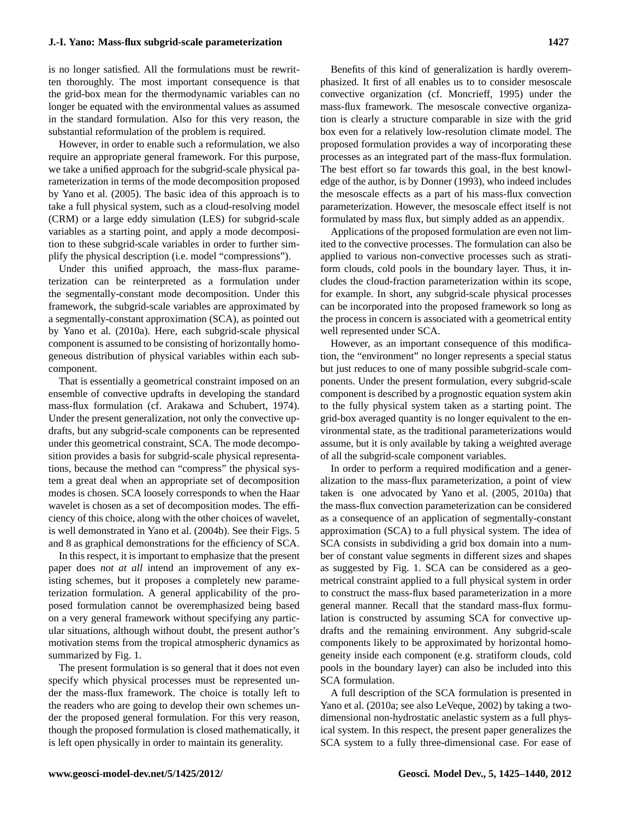is no longer satisfied. All the formulations must be rewritten thoroughly. The most important consequence is that the grid-box mean for the thermodynamic variables can no longer be equated with the environmental values as assumed in the standard formulation. Also for this very reason, the substantial reformulation of the problem is required.

However, in order to enable such a reformulation, we also require an appropriate general framework. For this purpose, we take a unified approach for the subgrid-scale physical parameterization in terms of the mode decomposition proposed by [Yano et al.](#page-15-0) [\(2005\)](#page-15-0). The basic idea of this approach is to take a full physical system, such as a cloud-resolving model (CRM) or a large eddy simulation (LES) for subgrid-scale variables as a starting point, and apply a mode decomposition to these subgrid-scale variables in order to further simplify the physical description (i.e. model "compressions").

Under this unified approach, the mass-flux parameterization can be reinterpreted as a formulation under the segmentally-constant mode decomposition. Under this framework, the subgrid-scale variables are approximated by a segmentally-constant approximation (SCA), as pointed out by [Yano et al.](#page-15-1) [\(2010a\)](#page-15-1). Here, each subgrid-scale physical component is assumed to be consisting of horizontally homogeneous distribution of physical variables within each subcomponent.

That is essentially a geometrical constraint imposed on an ensemble of convective updrafts in developing the standard mass-flux formulation (cf. [Arakawa and Schubert,](#page-14-3) [1974\)](#page-14-3). Under the present generalization, not only the convective updrafts, but any subgrid-scale components can be represented under this geometrical constraint, SCA. The mode decomposition provides a basis for subgrid-scale physical representations, because the method can "compress" the physical system a great deal when an appropriate set of decomposition modes is chosen. SCA loosely corresponds to when the Haar wavelet is chosen as a set of decomposition modes. The efficiency of this choice, along with the other choices of wavelet, is well demonstrated in [Yano et al.](#page-15-2) [\(2004b\)](#page-15-2). See their Figs. 5 and 8 as graphical demonstrations for the efficiency of SCA.

In this respect, it is important to emphasize that the present paper does *not at all* intend an improvement of any existing schemes, but it proposes a completely new parameterization formulation. A general applicability of the proposed formulation cannot be overemphasized being based on a very general framework without specifying any particular situations, although without doubt, the present author's motivation stems from the tropical atmospheric dynamics as summarized by Fig. 1.

The present formulation is so general that it does not even specify which physical processes must be represented under the mass-flux framework. The choice is totally left to the readers who are going to develop their own schemes under the proposed general formulation. For this very reason, though the proposed formulation is closed mathematically, it is left open physically in order to maintain its generality.

Benefits of this kind of generalization is hardly overemphasized. It first of all enables us to to consider mesoscale convective organization (cf. [Moncrieff,](#page-14-4) [1995\)](#page-14-4) under the mass-flux framework. The mesoscale convective organization is clearly a structure comparable in size with the grid box even for a relatively low-resolution climate model. The proposed formulation provides a way of incorporating these processes as an integrated part of the mass-flux formulation. The best effort so far towards this goal, in the best knowledge of the author, is by [Donner](#page-14-5) [\(1993\)](#page-14-5), who indeed includes the mesoscale effects as a part of his mass-flux convection parameterization. However, the mesoscale effect itself is not formulated by mass flux, but simply added as an appendix.

Applications of the proposed formulation are even not limited to the convective processes. The formulation can also be applied to various non-convective processes such as stratiform clouds, cold pools in the boundary layer. Thus, it includes the cloud-fraction parameterization within its scope, for example. In short, any subgrid-scale physical processes can be incorporated into the proposed framework so long as the process in concern is associated with a geometrical entity well represented under SCA.

However, as an important consequence of this modification, the "environment" no longer represents a special status but just reduces to one of many possible subgrid-scale components. Under the present formulation, every subgrid-scale component is described by a prognostic equation system akin to the fully physical system taken as a starting point. The grid-box averaged quantity is no longer equivalent to the environmental state, as the traditional parameterizations would assume, but it is only available by taking a weighted average of all the subgrid-scale component variables.

In order to perform a required modification and a generalization to the mass-flux parameterization, a point of view taken is one advocated by [Yano et al.](#page-15-0) [\(2005,](#page-15-0) [2010a\)](#page-15-1) that the mass-flux convection parameterization can be considered as a consequence of an application of segmentally-constant approximation (SCA) to a full physical system. The idea of SCA consists in subdividing a grid box domain into a number of constant value segments in different sizes and shapes as suggested by Fig. 1. SCA can be considered as a geometrical constraint applied to a full physical system in order to construct the mass-flux based parameterization in a more general manner. Recall that the standard mass-flux formulation is constructed by assuming SCA for convective updrafts and the remaining environment. Any subgrid-scale components likely to be approximated by horizontal homogeneity inside each component (e.g. stratiform clouds, cold pools in the boundary layer) can also be included into this SCA formulation.

A full description of the SCA formulation is presented in Yano et al. [\(2010a;](#page-15-1) see also [LeVeque,](#page-14-6) [2002\)](#page-14-6) by taking a twodimensional non-hydrostatic anelastic system as a full physical system. In this respect, the present paper generalizes the SCA system to a fully three-dimensional case. For ease of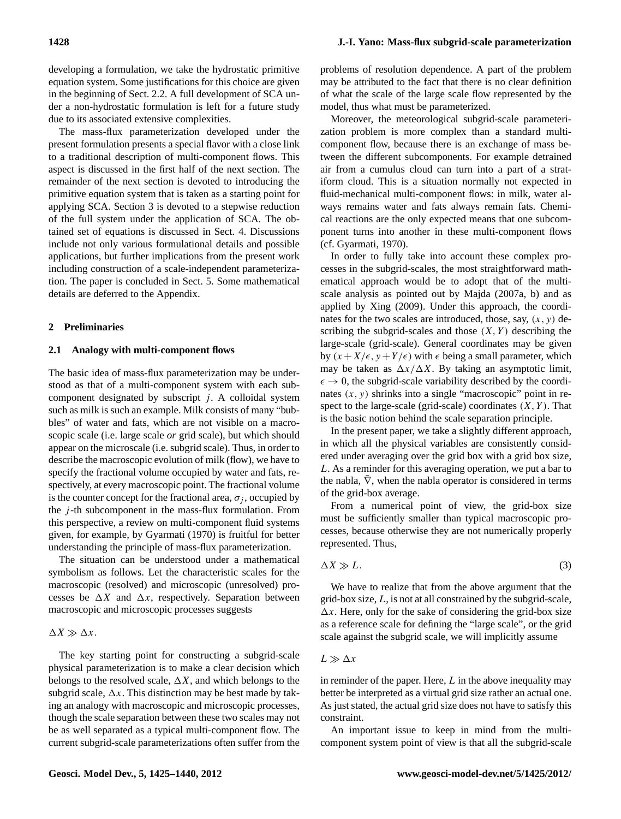developing a formulation, we take the hydrostatic primitive equation system. Some justifications for this choice are given in the beginning of Sect. 2.2. A full development of SCA under a non-hydrostatic formulation is left for a future study due to its associated extensive complexities.

The mass-flux parameterization developed under the present formulation presents a special flavor with a close link to a traditional description of multi-component flows. This aspect is discussed in the first half of the next section. The remainder of the next section is devoted to introducing the primitive equation system that is taken as a starting point for applying SCA. Section 3 is devoted to a stepwise reduction of the full system under the application of SCA. The obtained set of equations is discussed in Sect. 4. Discussions include not only various formulational details and possible applications, but further implications from the present work including construction of a scale-independent parameterization. The paper is concluded in Sect. 5. Some mathematical details are deferred to the Appendix.

#### **2 Preliminaries**

#### **2.1 Analogy with multi-component flows**

The basic idea of mass-flux parameterization may be understood as that of a multi-component system with each subcomponent designated by subscript  $j$ . A colloidal system such as milk is such an example. Milk consists of many "bubbles" of water and fats, which are not visible on a macroscopic scale (i.e. large scale *or* grid scale), but which should appear on the microscale (i.e. subgrid scale). Thus, in order to describe the macroscopic evolution of milk (flow), we have to specify the fractional volume occupied by water and fats, respectively, at every macroscopic point. The fractional volume is the counter concept for the fractional area,  $\sigma_i$ , occupied by the *j*-th subcomponent in the mass-flux formulation. From this perspective, a review on multi-component fluid systems given, for example, by [Gyarmati](#page-14-7) [\(1970\)](#page-14-7) is fruitful for better understanding the principle of mass-flux parameterization.

The situation can be understood under a mathematical symbolism as follows. Let the characteristic scales for the macroscopic (resolved) and microscopic (unresolved) processes be  $\Delta X$  and  $\Delta x$ , respectively. Separation between macroscopic and microscopic processes suggests

#### $\Delta X \gg \Delta x$ .

The key starting point for constructing a subgrid-scale physical parameterization is to make a clear decision which belongs to the resolved scale,  $\Delta X$ , and which belongs to the subgrid scale,  $\Delta x$ . This distinction may be best made by taking an analogy with macroscopic and microscopic processes, though the scale separation between these two scales may not be as well separated as a typical multi-component flow. The current subgrid-scale parameterizations often suffer from the problems of resolution dependence. A part of the problem may be attributed to the fact that there is no clear definition of what the scale of the large scale flow represented by the model, thus what must be parameterized.

Moreover, the meteorological subgrid-scale parameterization problem is more complex than a standard multicomponent flow, because there is an exchange of mass between the different subcomponents. For example detrained air from a cumulus cloud can turn into a part of a stratiform cloud. This is a situation normally not expected in fluid-mechanical multi-component flows: in milk, water always remains water and fats always remain fats. Chemical reactions are the only expected means that one subcomponent turns into another in these multi-component flows (cf. [Gyarmati,](#page-14-7) [1970\)](#page-14-7).

In order to fully take into account these complex processes in the subgrid-scales, the most straightforward mathematical approach would be to adopt that of the multiscale analysis as pointed out by [Majda](#page-14-8) [\(2007a,](#page-14-8) b) and as applied by [Xing](#page-14-9) [\(2009\)](#page-14-9). Under this approach, the coordinates for the two scales are introduced, those, say,  $(x, y)$  describing the subgrid-scales and those  $(X, Y)$  describing the large-scale (grid-scale). General coordinates may be given by  $(x + X/\epsilon, y + Y/\epsilon)$  with  $\epsilon$  being a small parameter, which may be taken as  $\Delta x/\Delta X$ . By taking an asymptotic limit,  $\epsilon \rightarrow 0$ , the subgrid-scale variability described by the coordinates  $(x, y)$  shrinks into a single "macroscopic" point in respect to the large-scale (grid-scale) coordinates  $(X, Y)$ . That is the basic notion behind the scale separation principle.

In the present paper, we take a slightly different approach, in which all the physical variables are consistently considered under averaging over the grid box with a grid box size, L. As a reminder for this averaging operation, we put a bar to the nabla,  $\bar{\nabla}$ , when the nabla operator is considered in terms of the grid-box average.

From a numerical point of view, the grid-box size must be sufficiently smaller than typical macroscopic processes, because otherwise they are not numerically properly represented. Thus,

$$
\Delta X \gg L. \tag{3}
$$

We have to realize that from the above argument that the grid-box size,  $L$ , is not at all constrained by the subgrid-scale,  $\Delta x$ . Here, only for the sake of considering the grid-box size as a reference scale for defining the "large scale", or the grid scale against the subgrid scale, we will implicitly assume

## $L \gg \Delta x$

in reminder of the paper. Here,  $L$  in the above inequality may better be interpreted as a virtual grid size rather an actual one. As just stated, the actual grid size does not have to satisfy this constraint.

An important issue to keep in mind from the multicomponent system point of view is that all the subgrid-scale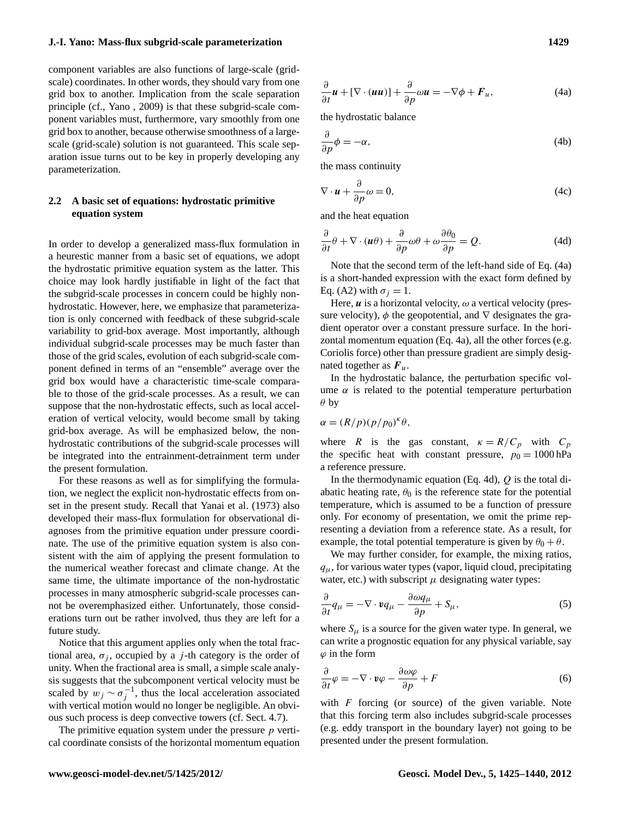component variables are also functions of large-scale (gridscale) coordinates. In other words, they should vary from one grid box to another. Implication from the scale separation principle (cf., [Yano](#page-14-10) , [2009\)](#page-14-10) is that these subgrid-scale component variables must, furthermore, vary smoothly from one grid box to another, because otherwise smoothness of a largescale (grid-scale) solution is not guaranteed. This scale separation issue turns out to be key in properly developing any parameterization.

# **2.2 A basic set of equations: hydrostatic primitive equation system**

In order to develop a generalized mass-flux formulation in a heurestic manner from a basic set of equations, we adopt the hydrostatic primitive equation system as the latter. This choice may look hardly justifiable in light of the fact that the subgrid-scale processes in concern could be highly nonhydrostatic. However, here, we emphasize that parameterization is only concerned with feedback of these subgrid-scale variability to grid-box average. Most importantly, although individual subgrid-scale processes may be much faster than those of the grid scales, evolution of each subgrid-scale component defined in terms of an "ensemble" average over the grid box would have a characteristic time-scale comparable to those of the grid-scale processes. As a result, we can suppose that the non-hydrostatic effects, such as local acceleration of vertical velocity, would become small by taking grid-box average. As will be emphasized below, the nonhydrostatic contributions of the subgrid-scale processes will be integrated into the entrainment-detrainment term under the present formulation.

For these reasons as well as for simplifying the formulation, we neglect the explicit non-hydrostatic effects from onset in the present study. Recall that [Yanai et al.](#page-14-11) [\(1973\)](#page-14-11) also developed their mass-flux formulation for observational diagnoses from the primitive equation under pressure coordinate. The use of the primitive equation system is also consistent with the aim of applying the present formulation to the numerical weather forecast and climate change. At the same time, the ultimate importance of the non-hydrostatic processes in many atmospheric subgrid-scale processes cannot be overemphasized either. Unfortunately, those considerations turn out be rather involved, thus they are left for a future study.

Notice that this argument applies only when the total fractional area,  $\sigma_i$ , occupied by a *j*-th category is the order of unity. When the fractional area is small, a simple scale analysis suggests that the subcomponent vertical velocity must be scaled by  $w_j \sim \sigma_j^{-1}$ , thus the local acceleration associated with vertical motion would no longer be negligible. An obvious such process is deep convective towers (cf. Sect. 4.7).

The primitive equation system under the pressure  $p$  vertical coordinate consists of the horizontal momentum equation

$$
\frac{\partial}{\partial t}\boldsymbol{u} + [\nabla \cdot (\boldsymbol{u}\boldsymbol{u})] + \frac{\partial}{\partial p}\omega \boldsymbol{u} = -\nabla \phi + \boldsymbol{F}_u,\tag{4a}
$$

the hydrostatic balance

$$
\frac{\partial}{\partial p}\phi = -\alpha,\tag{4b}
$$

the mass continuity

$$
\nabla \cdot \mathbf{u} + \frac{\partial}{\partial p} \omega = 0, \tag{4c}
$$

and the heat equation

$$
\frac{\partial}{\partial t}\theta + \nabla \cdot (\boldsymbol{u}\theta) + \frac{\partial}{\partial p}\omega\theta + \omega \frac{\partial \theta_0}{\partial p} = Q.
$$
 (4d)

Note that the second term of the left-hand side of Eq. (4a) is a short-handed expression with the exact form defined by Eq. (A2) with  $\sigma_i = 1$ .

Here,  $\boldsymbol{u}$  is a horizontal velocity,  $\omega$  a vertical velocity (pressure velocity),  $\phi$  the geopotential, and  $\nabla$  designates the gradient operator over a constant pressure surface. In the horizontal momentum equation (Eq. 4a), all the other forces (e.g. Coriolis force) other than pressure gradient are simply designated together as  $F_u$ .

In the hydrostatic balance, the perturbation specific volume  $\alpha$  is related to the potential temperature perturbation  $\theta$  by

$$
\alpha = (R/p)(p/p_0)^k \theta,
$$

where R is the gas constant,  $\kappa = R/C_p$  with  $C_p$ the specific heat with constant pressure,  $p_0 = 1000$  hPa a reference pressure.

In the thermodynamic equation (Eq. 4d),  $Q$  is the total diabatic heating rate,  $\theta_0$  is the reference state for the potential temperature, which is assumed to be a function of pressure only. For economy of presentation, we omit the prime representing a deviation from a reference state. As a result, for example, the total potential temperature is given by  $\theta_0 + \theta$ .

We may further consider, for example, the mixing ratios,  $q_{\mu}$ , for various water types (vapor, liquid cloud, precipitating water, etc.) with subscript  $\mu$  designating water types:

$$
\frac{\partial}{\partial t}q_{\mu} = -\nabla \cdot \mathbf{v}q_{\mu} - \frac{\partial \omega q_{\mu}}{\partial p} + S_{\mu},\tag{5}
$$

where  $S_{\mu}$  is a source for the given water type. In general, we can write a prognostic equation for any physical variable, say  $\varphi$  in the form

$$
\frac{\partial}{\partial t}\varphi = -\nabla \cdot \mathbf{v}\varphi - \frac{\partial \omega \varphi}{\partial p} + F \tag{6}
$$

with  $F$  forcing (or source) of the given variable. Note that this forcing term also includes subgrid-scale processes (e.g. eddy transport in the boundary layer) not going to be presented under the present formulation.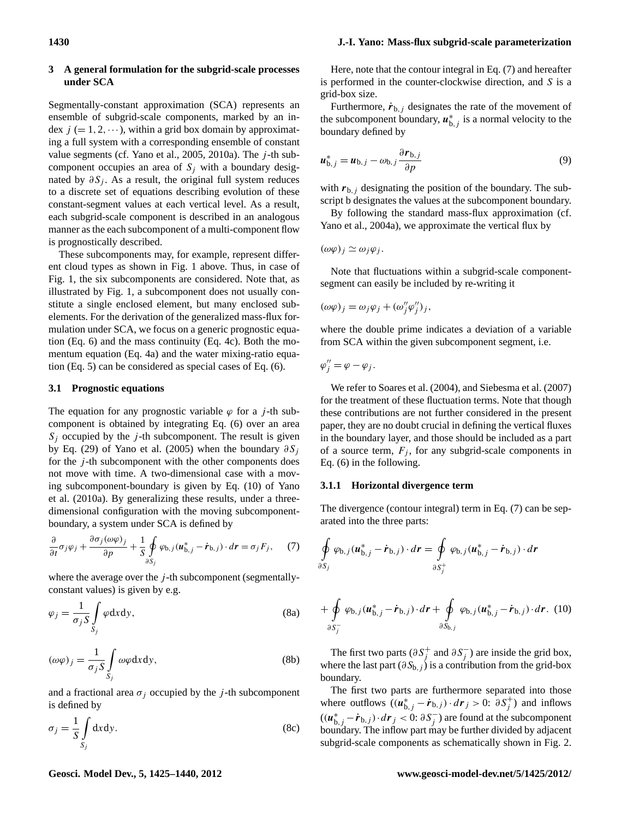## **3 A general formulation for the subgrid-scale processes under SCA**

Segmentally-constant approximation (SCA) represents an ensemble of subgrid-scale components, marked by an index  $j (= 1, 2, \dots)$ , within a grid box domain by approximating a full system with a corresponding ensemble of constant value segments (cf. [Yano et al.,](#page-15-0) [2005,](#page-15-0) [2010a\)](#page-15-1). The  $j$ -th subcomponent occupies an area of  $S_i$  with a boundary designated by  $\partial S_i$ . As a result, the original full system reduces to a discrete set of equations describing evolution of these constant-segment values at each vertical level. As a result, each subgrid-scale component is described in an analogous manner as the each subcomponent of a multi-component flow is prognostically described.

These subcomponents may, for example, represent different cloud types as shown in Fig. 1 above. Thus, in case of Fig. 1, the six subcomponents are considered. Note that, as illustrated by Fig. 1, a subcomponent does not usually constitute a single enclosed element, but many enclosed subelements. For the derivation of the generalized mass-flux formulation under SCA, we focus on a generic prognostic equation (Eq. 6) and the mass continuity (Eq. 4c). Both the momentum equation (Eq. 4a) and the water mixing-ratio equation (Eq. 5) can be considered as special cases of Eq. (6).

#### **3.1 Prognostic equations**

The equation for any prognostic variable  $\varphi$  for a *j*-th subcomponent is obtained by integrating Eq. (6) over an area  $S_i$  occupied by the *j*-th subcomponent. The result is given by Eq. (29) of [Yano et al.](#page-15-0) [\(2005\)](#page-15-0) when the boundary  $\partial S_i$ for the  $j$ -th subcomponent with the other components does not move with time. A two-dimensional case with a moving subcomponent-boundary is given by Eq. (10) of [Yano](#page-15-1) [et al.](#page-15-1) [\(2010a\)](#page-15-1). By generalizing these results, under a threedimensional configuration with the moving subcomponentboundary, a system under SCA is defined by

$$
\frac{\partial}{\partial t}\sigma_j\varphi_j + \frac{\partial \sigma_j(\omega\varphi)_j}{\partial p} + \frac{1}{S} \oint_{\partial S_j} \varphi_{b,j}(u_{b,j}^* - \dot{r}_{b,j}) \cdot d\mathbf{r} = \sigma_j F_j, \qquad (7)
$$

where the average over the  $j$ -th subcomponent (segmentallyconstant values) is given by e.g.

$$
\varphi_j = \frac{1}{\sigma_j S} \int_{S_j} \varphi \, dx \, dy,\tag{8a}
$$

$$
(\omega \varphi)_j = \frac{1}{\sigma_j S} \int_{S_j} \omega \varphi \, dx \, dy,\tag{8b}
$$

and a fractional area  $\sigma_i$  occupied by the j-th subcomponent is defined by

$$
\sigma_j = \frac{1}{S} \int_{S_j} dx dy.
$$
 (8c)

Here, note that the contour integral in Eq. (7) and hereafter is performed in the counter-clockwise direction, and S is a grid-box size.

Furthermore,  $\dot{r}_{b,i}$  designates the rate of the movement of the subcomponent boundary,  $u_{b,j}^*$  is a normal velocity to the boundary defined by

$$
\boldsymbol{u}_{\mathrm{b},j}^{*} = \boldsymbol{u}_{\mathrm{b},j} - \omega_{\mathrm{b},j} \frac{\partial \boldsymbol{r}_{\mathrm{b},j}}{\partial p} \tag{9}
$$

with  $r_{b,i}$  designating the position of the boundary. The subscript b designates the values at the subcomponent boundary.

By following the standard mass-flux approximation (cf. [Yano et al.,](#page-15-3) [2004a\)](#page-15-3), we approximate the vertical flux by

 $(\omega \varphi)_i \simeq \omega_i \varphi_i$ .

Note that fluctuations within a subgrid-scale componentsegment can easily be included by re-writing it

$$
(\omega \varphi)_j = \omega_j \varphi_j + (\omega''_j \varphi''_j)_j,
$$

where the double prime indicates a deviation of a variable from SCA within the given subcomponent segment, i.e.

$$
\varphi_j''=\varphi-\varphi_j.
$$

We refer to [Soares et al.](#page-14-12) [\(2004\)](#page-14-12), and [Siebesma et al.](#page-14-13) [\(2007\)](#page-14-13) for the treatment of these fluctuation terms. Note that though these contributions are not further considered in the present paper, they are no doubt crucial in defining the vertical fluxes in the boundary layer, and those should be included as a part of a source term,  $F_i$ , for any subgrid-scale components in Eq. (6) in the following.

## **3.1.1 Horizontal divergence term**

The divergence (contour integral) term in Eq. (7) can be separated into the three parts:

$$
\oint_{\partial S_j} \varphi_{b,j}(\boldsymbol{u}_{b,j}^*-\dot{\boldsymbol{r}}_{b,j})\cdot d\boldsymbol{r} = \oint_{\partial S_j^+} \varphi_{b,j}(\boldsymbol{u}_{b,j}^*-\dot{\boldsymbol{r}}_{b,j})\cdot d\boldsymbol{r}
$$

$$
+\oint_{\partial S_j^-} \varphi_{b,j}(\boldsymbol{u}^*_{b,j}-\dot{\boldsymbol{r}}_{b,j})\cdot d\boldsymbol{r}+\oint_{\partial S_{b,j}} \varphi_{b,j}(\boldsymbol{u}^*_{b,j}-\dot{\boldsymbol{r}}_{b,j})\cdot d\boldsymbol{r}.
$$
 (10)

The first two parts ( $\partial S_j^+$  and  $\partial S_j^-$ ) are inside the grid box, where the last part ( $\partial S_{b,j}$ ) is a contribution from the grid-box boundary.

The first two parts are furthermore separated into those where outflows  $((u_{b,j}^* - \dot{r}_{b,j}) \cdot d\mathbf{r}_j > 0: \partial S_j^+)$  and inflows  $((u_{b,j}^* - \dot{r}_{b,j}) \cdot d\mathbf{r}_j < 0: \partial S_j^-)$  are found at the subcomponent boundary. The inflow part may be further divided by adjacent subgrid-scale components as schematically shown in Fig. 2.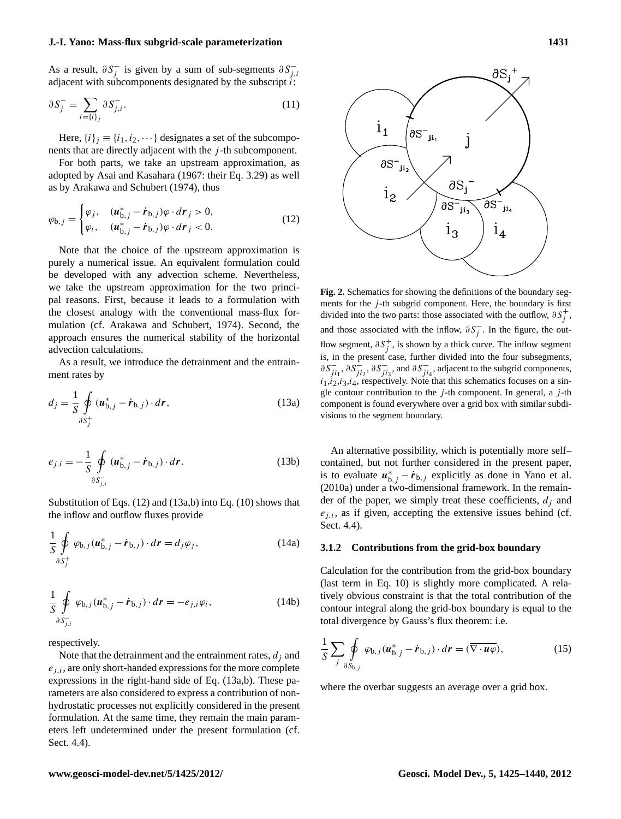As a result,  $\partial S_j^-$  is given by a sum of sub-segments  $\partial S_{j,i}^$ adjacent with subcomponents designated by the subscript  $\ddot{i}$ :

$$
\partial S_j^- = \sum_{i=\{i\}_j} \partial S_{j,i}^-.
$$
\n(11)

Here,  $\{i\}_i \equiv \{i_1, i_2, \dots\}$  designates a set of the subcomponents that are directly adjacent with the *j*-th subcomponent.

For both parts, we take an upstream approximation, as adopted by [Asai and Kasahara](#page-14-14) [\(1967:](#page-14-14) their Eq. 3.29) as well as by [Arakawa and Schubert](#page-14-3) [\(1974\)](#page-14-3), thus

$$
\varphi_{b,j} = \begin{cases} \varphi_j, & (u_{b,j}^* - \dot{r}_{b,j})\varphi \cdot d\mathbf{r}_j > 0, \\ \varphi_i, & (u_{b,j}^* - \dot{r}_{b,j})\varphi \cdot d\mathbf{r}_j < 0. \end{cases} \tag{12}
$$

Note that the choice of the upstream approximation is purely a numerical issue. An equivalent formulation could be developed with any advection scheme. Nevertheless, we take the upstream approximation for the two principal reasons. First, because it leads to a formulation with the closest analogy with the conventional mass-flux formulation (cf. [Arakawa and Schubert,](#page-14-3) [1974\)](#page-14-3). Second, the approach ensures the numerical stability of the horizontal advection calculations.

As a result, we introduce the detrainment and the entrainment rates by

$$
d_j = \frac{1}{S} \oint\limits_{\partial S_j^+} (\boldsymbol{u}_{\boldsymbol{b},j}^* - \dot{\boldsymbol{r}}_{\boldsymbol{b},j}) \cdot d\boldsymbol{r},
$$
\n(13a)

$$
e_{j,i} = -\frac{1}{S} \oint \limits_{\partial S_{j,i}^-} (\boldsymbol{u}_{\text{b},j}^* - \dot{\boldsymbol{r}}_{\text{b},j}) \cdot d\boldsymbol{r}.
$$
 (13b)

Substitution of Eqs. (12) and (13a,b) into Eq. (10) shows that the inflow and outflow fluxes provide

$$
\frac{1}{S} \oint_{\partial S_j^+} \varphi_{b,j} (\boldsymbol{u}_{b,j}^* - \dot{\boldsymbol{r}}_{b,j}) \cdot d\boldsymbol{r} = d_j \varphi_j,
$$
\n(14a)

$$
\frac{1}{S} \oint_{\partial S_{\overline{j},i}} \varphi_{\mathsf{b},j}(\boldsymbol{u}_{\mathsf{b},j}^* - \dot{\boldsymbol{r}}_{\mathsf{b},j}) \cdot d\boldsymbol{r} = -e_{j,i} \varphi_i, \qquad (14b)
$$

respectively.

Note that the detrainment and the entrainment rates,  $d_i$  and  $e_{i,i}$ , are only short-handed expressions for the more complete expressions in the right-hand side of Eq. (13a,b). These parameters are also considered to express a contribution of nonhydrostatic processes not explicitly considered in the present formulation. At the same time, they remain the main parameters left undetermined under the present formulation (cf. Sect. 4.4).



**Fig. 2.** Schematics for showing the definitions of the boundary segments for the  $j$ -th subgrid component. Here, the boundary is first divided into the two parts: those associated with the outflow,  $\partial S_j^+$ , and those associated with the inflow,  $\partial S_j^-$ . In the figure, the outflow segment,  $\partial S_j^+$ , is shown by a thick curve. The inflow segment is, in the present case, further divided into the four subsegments,  $\partial S_{ji_1}^-$ ,  $\partial S_{ji_2}^-$ ,  $\partial S_{ji_3}^-$ , and  $\partial S_{ji_4}^-$ , adjacent to the subgrid components,  $i_1, i_2, i_3, i_4$ , respectively. Note that this schematics focuses on a single contour contribution to the  $j$ -th component. In general, a  $j$ -th component is found everywhere over a grid box with similar subdivisions to the segment boundary.

An alternative possibility, which is potentially more self– contained, but not further considered in the present paper, is to evaluate  $u_{b,j}^* - \dot{r}_{b,j}$  explicitly as done in [Yano et al.](#page-15-1) [\(2010a\)](#page-15-1) under a two-dimensional framework. In the remainder of the paper, we simply treat these coefficients,  $d_i$  and  $e_{i,i}$ , as if given, accepting the extensive issues behind (cf. Sect. 4.4).

#### **3.1.2 Contributions from the grid-box boundary**

Calculation for the contribution from the grid-box boundary (last term in Eq. 10) is slightly more complicated. A relatively obvious constraint is that the total contribution of the contour integral along the grid-box boundary is equal to the total divergence by Gauss's flux theorem: i.e.

$$
\frac{1}{S} \sum_{j} \oint_{\partial S_{\mathbf{b},j}} \varphi_{\mathbf{b},j} (\boldsymbol{u}_{\mathbf{b},j}^* - \dot{\boldsymbol{r}}_{\mathbf{b},j}) \cdot d\boldsymbol{r} = (\overline{\nabla \cdot \boldsymbol{u} \varphi}),
$$
(15)

where the overbar suggests an average over a grid box.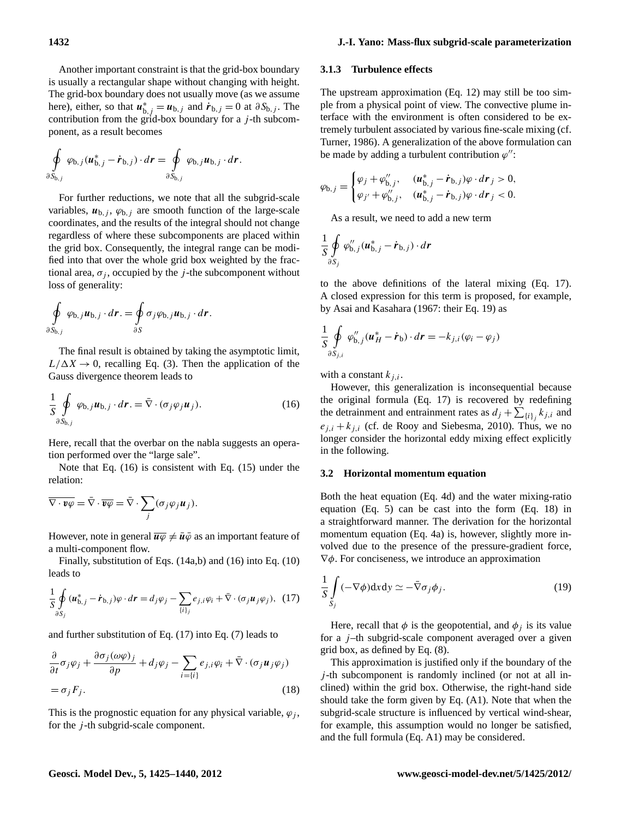Another important constraint is that the grid-box boundary is usually a rectangular shape without changing with height. The grid-box boundary does not usually move (as we assume here), either, so that  $u_{b,j}^* = u_{b,j}$  and  $\dot{r}_{b,j} = 0$  at  $\partial S_{b,j}$ . The contribution from the grid-box boundary for a  $j$ -th subcomponent, as a result becomes

$$
\oint_{\partial S_{\mathbf{b},j}} \varphi_{\mathbf{b},j}(\boldsymbol{u}_{\mathbf{b},j}^*-\dot{\boldsymbol{r}}_{\mathbf{b},j})\cdot d\boldsymbol{r}=\oint_{\partial S_{\mathbf{b},j}} \varphi_{\mathbf{b},j}\boldsymbol{u}_{\mathbf{b},j}\cdot d\boldsymbol{r}.
$$

For further reductions, we note that all the subgrid-scale variables,  $u_{b,j}$ ,  $\varphi_{b,j}$  are smooth function of the large-scale coordinates, and the results of the integral should not change regardless of where these subcomponents are placed within the grid box. Consequently, the integral range can be modified into that over the whole grid box weighted by the fractional area,  $\sigma_i$ , occupied by the *j*-the subcomponent without loss of generality:

$$
\oint_{\partial S_{\mathsf{b},j}} \varphi_{\mathsf{b},j} \mathbf{u}_{\mathsf{b},j} \cdot d\mathbf{r} = \oint_{\partial S} \sigma_j \varphi_{\mathsf{b},j} \mathbf{u}_{\mathsf{b},j} \cdot d\mathbf{r}.
$$

The final result is obtained by taking the asymptotic limit,  $L/\Delta X \rightarrow 0$ , recalling Eq. (3). Then the application of the Gauss divergence theorem leads to

$$
\frac{1}{S} \oint_{\partial S_{\mathbf{b},j}} \varphi_{\mathbf{b},j} \mathbf{u}_{\mathbf{b},j} \cdot d\mathbf{r} = \bar{\nabla} \cdot (\sigma_j \varphi_j \mathbf{u}_j). \tag{16}
$$

Here, recall that the overbar on the nabla suggests an operation performed over the "large sale".

Note that Eq. (16) is consistent with Eq. (15) under the relation:

$$
\overline{\nabla \cdot \mathbf{v}\varphi} = \overline{\nabla} \cdot \overline{\mathbf{v}\varphi} = \overline{\nabla} \cdot \sum_j (\sigma_j \varphi_j \mathbf{u}_j).
$$

However, note in general  $\overline{u}\overline{\varphi} \neq \overline{u}\overline{\varphi}$  as an important feature of a multi-component flow.

Finally, substitution of Eqs. (14a,b) and (16) into Eq. (10) leads to

$$
\frac{1}{S} \oint_{\partial S_j} (\boldsymbol{u}_{\boldsymbol{b},j}^* - \dot{\boldsymbol{r}}_{\boldsymbol{b},j}) \varphi \cdot d\boldsymbol{r} = d_j \varphi_j - \sum_{\{i\}_j} e_{j,i} \varphi_i + \bar{\nabla} \cdot (\sigma_j \boldsymbol{u}_j \varphi_j), \tag{17}
$$

and further substitution of Eq. (17) into Eq. (7) leads to

$$
\frac{\partial}{\partial t}\sigma_j \varphi_j + \frac{\partial \sigma_j(\omega \varphi)_j}{\partial p} + d_j \varphi_j - \sum_{i=\{i\}} e_{j,i} \varphi_i + \bar{\nabla} \cdot (\sigma_j \mathbf{u}_j \varphi_j)
$$
  
=  $\sigma_j F_j.$  (18)

This is the prognostic equation for any physical variable,  $\varphi_i$ , for the *j*-th subgrid-scale component.

#### **3.1.3 Turbulence effects**

The upstream approximation (Eq. 12) may still be too simple from a physical point of view. The convective plume interface with the environment is often considered to be extremely turbulent associated by various fine-scale mixing (cf. [Turner,](#page-14-15) [1986\)](#page-14-15). A generalization of the above formulation can be made by adding a turbulent contribution  $\varphi$ ":

$$
\varphi_{\mathsf{b},j} = \begin{cases} \varphi_j + \varphi''_{\mathsf{b},j}, & (u^*_{\mathsf{b},j} - \dot{r}_{\mathsf{b},j})\varphi \cdot d\mathbf{r}_j > 0, \\ \varphi_{j'} + \varphi''_{\mathsf{b},j}, & (u^*_{\mathsf{b},j} - \dot{r}_{\mathsf{b},j})\varphi \cdot d\mathbf{r}_j < 0. \end{cases}
$$

As a result, we need to add a new term

$$
\frac{1}{S}\oint\limits_{\partial S_j}\varphi''_{b,j}(\boldsymbol{u}^*_{b,j}-\dot{\boldsymbol{r}}_{b,j})\cdot d\boldsymbol{r}
$$

to the above definitions of the lateral mixing (Eq. 17). A closed expression for this term is proposed, for example, by [Asai and Kasahara](#page-14-14) [\(1967:](#page-14-14) their Eq. 19) as

$$
\frac{1}{S} \oint_{\partial S_{j,i}} \varphi''_{b,j} (u^*_{H} - \dot{r}_{b}) \cdot d\mathbf{r} = -k_{j,i} (\varphi_i - \varphi_j)
$$

with a constant  $k_{i,i}$ .

However, this generalization is inconsequential because the original formula (Eq. 17) is recovered by redefining the detrainment and entrainment rates as  $d_j + \sum_{\{i\}_j} k_{j,i}$  and  $e_{i,i} + k_{i,i}$  (cf. [de Rooy and Siebesma,](#page-14-16) [2010\)](#page-14-16). Thus, we no longer consider the horizontal eddy mixing effect explicitly in the following.

#### **3.2 Horizontal momentum equation**

Both the heat equation (Eq. 4d) and the water mixing-ratio equation (Eq. 5) can be cast into the form (Eq. 18) in a straightforward manner. The derivation for the horizontal momentum equation (Eq. 4a) is, however, slightly more involved due to the presence of the pressure-gradient force,  $\nabla \phi$ . For conciseness, we introduce an approximation

$$
\frac{1}{S} \int_{S_j} (-\nabla \phi) dxdy \simeq -\bar{\nabla} \sigma_j \phi_j.
$$
 (19)

Here, recall that  $\phi$  is the geopotential, and  $\phi_j$  is its value for a  $j$ -th subgrid-scale component averaged over a given grid box, as defined by Eq. (8).

This approximation is justified only if the boundary of the  $j$ -th subcomponent is randomly inclined (or not at all inclined) within the grid box. Otherwise, the right-hand side should take the form given by Eq. (A1). Note that when the subgrid-scale structure is influenced by vertical wind-shear, for example, this assumption would no longer be satisfied, and the full formula (Eq. A1) may be considered.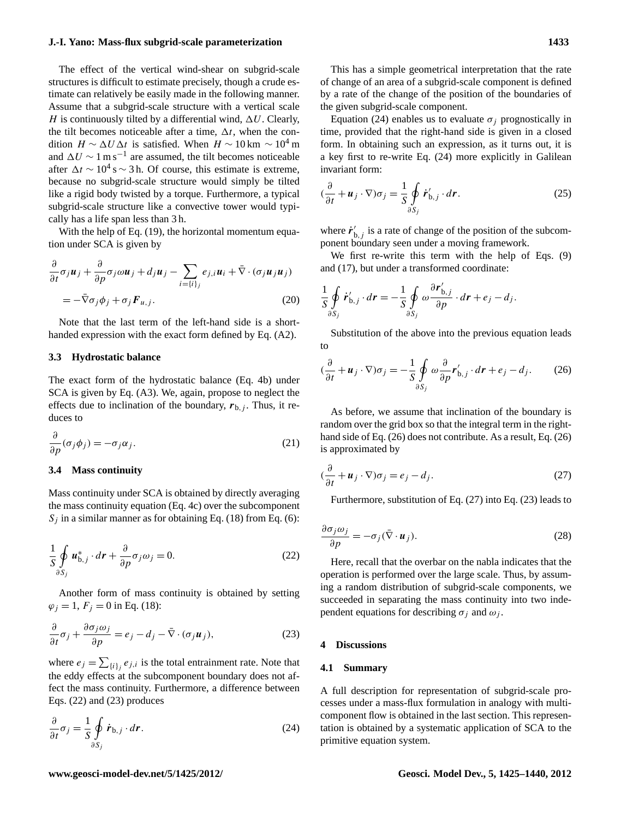The effect of the vertical wind-shear on subgrid-scale structures is difficult to estimate precisely, though a crude estimate can relatively be easily made in the following manner. Assume that a subgrid-scale structure with a vertical scale H is continuously tilted by a differential wind,  $\Delta U$ . Clearly, the tilt becomes noticeable after a time,  $\Delta t$ , when the condition  $H \sim \Delta U \Delta t$  is satisfied. When  $H \sim 10 \text{ km } \sim 10^4 \text{ m}$ and  $\Delta U \sim 1 \text{ m s}^{-1}$  are assumed, the tilt becomes noticeable after  $\Delta t \sim 10^4$  s ∼ 3 h. Of course, this estimate is extreme, because no subgrid-scale structure would simply be tilted like a rigid body twisted by a torque. Furthermore, a typical subgrid-scale structure like a convective tower would typically has a life span less than 3 h.

With the help of Eq. (19), the horizontal momentum equation under SCA is given by

$$
\frac{\partial}{\partial t}\sigma_j \boldsymbol{u}_j + \frac{\partial}{\partial p}\sigma_j \omega \boldsymbol{u}_j + d_j \boldsymbol{u}_j - \sum_{i=\{i\}_j} e_{j,i} \boldsymbol{u}_i + \bar{\nabla} \cdot (\sigma_j \boldsymbol{u}_j \boldsymbol{u}_j)
$$
\n
$$
= -\bar{\nabla}\sigma_j \phi_j + \sigma_j \boldsymbol{F}_{u,j}.
$$
\n(20)

Note that the last term of the left-hand side is a shorthanded expression with the exact form defined by Eq. (A2).

## **3.3 Hydrostatic balance**

The exact form of the hydrostatic balance (Eq. 4b) under SCA is given by Eq. (A3). We, again, propose to neglect the effects due to inclination of the boundary,  $r_{b,j}$ . Thus, it reduces to

$$
\frac{\partial}{\partial p}(\sigma_j \phi_j) = -\sigma_j \alpha_j. \tag{21}
$$

## **3.4 Mass continuity**

Mass continuity under SCA is obtained by directly averaging the mass continuity equation (Eq. 4c) over the subcomponent  $S_i$  in a similar manner as for obtaining Eq. (18) from Eq. (6):

$$
\frac{1}{S} \oint_{\partial S_j} u_{b,j}^* \cdot d\mathbf{r} + \frac{\partial}{\partial p} \sigma_j \omega_j = 0.
$$
 (22)

Another form of mass continuity is obtained by setting  $\varphi_i = 1, F_i = 0$  in Eq. (18):

$$
\frac{\partial}{\partial t}\sigma_j + \frac{\partial \sigma_j \omega_j}{\partial p} = e_j - d_j - \bar{\nabla} \cdot (\sigma_j \boldsymbol{u}_j),\tag{23}
$$

where  $e_j = \sum_{\{i\}_j} e_{j,i}$  is the total entrainment rate. Note that the eddy effects at the subcomponent boundary does not affect the mass continuity. Furthermore, a difference between Eqs. (22) and (23) produces

$$
\frac{\partial}{\partial t}\sigma_j = \frac{1}{S} \oint_{\partial S_j} \dot{\mathbf{r}}_{\mathbf{b},j} \cdot d\mathbf{r}.
$$
 (24)

This has a simple geometrical interpretation that the rate of change of an area of a subgrid-scale component is defined by a rate of the change of the position of the boundaries of the given subgrid-scale component.

Equation (24) enables us to evaluate  $\sigma_i$  prognostically in time, provided that the right-hand side is given in a closed form. In obtaining such an expression, as it turns out, it is a key first to re-write Eq. (24) more explicitly in Galilean invariant form:

$$
(\frac{\partial}{\partial t} + \boldsymbol{u}_j \cdot \nabla) \sigma_j = \frac{1}{S} \oint_{\partial S_j} \boldsymbol{r}'_{b,j} \cdot d\boldsymbol{r}.
$$
 (25)

where  $\dot{r}'_{b,j}$  is a rate of change of the position of the subcomponent boundary seen under a moving framework.

We first re-write this term with the help of Eqs. (9) and (17), but under a transformed coordinate:

$$
\frac{1}{S}\oint\limits_{\partial S_j}\dot{\boldsymbol{r}}'_{\mathrm{b},j}\cdot d\boldsymbol{r}=-\frac{1}{S}\oint\limits_{\partial S_j}\omega\frac{\partial \boldsymbol{r}'_{\mathrm{b},j}}{\partial p}\cdot d\boldsymbol{r}+e_j-d_j.
$$

Substitution of the above into the previous equation leads to

$$
(\frac{\partial}{\partial t} + \boldsymbol{u}_j \cdot \nabla) \sigma_j = -\frac{1}{S} \oint_{\partial S_j} \omega \frac{\partial}{\partial p} \boldsymbol{r}'_{b,j} \cdot d\boldsymbol{r} + e_j - d_j. \tag{26}
$$

As before, we assume that inclination of the boundary is random over the grid box so that the integral term in the righthand side of Eq. (26) does not contribute. As a result, Eq. (26) is approximated by

$$
(\frac{\partial}{\partial t} + \boldsymbol{u}_j \cdot \nabla)\sigma_j = e_j - d_j.
$$
 (27)

Furthermore, substitution of Eq. (27) into Eq. (23) leads to

$$
\frac{\partial \sigma_j \omega_j}{\partial p} = -\sigma_j (\bar{\nabla} \cdot \boldsymbol{u}_j). \tag{28}
$$

Here, recall that the overbar on the nabla indicates that the operation is performed over the large scale. Thus, by assuming a random distribution of subgrid-scale components, we succeeded in separating the mass continuity into two independent equations for describing  $\sigma_i$  and  $\omega_i$ .

#### **4 Discussions**

#### **4.1 Summary**

A full description for representation of subgrid-scale processes under a mass-flux formulation in analogy with multicomponent flow is obtained in the last section. This representation is obtained by a systematic application of SCA to the primitive equation system.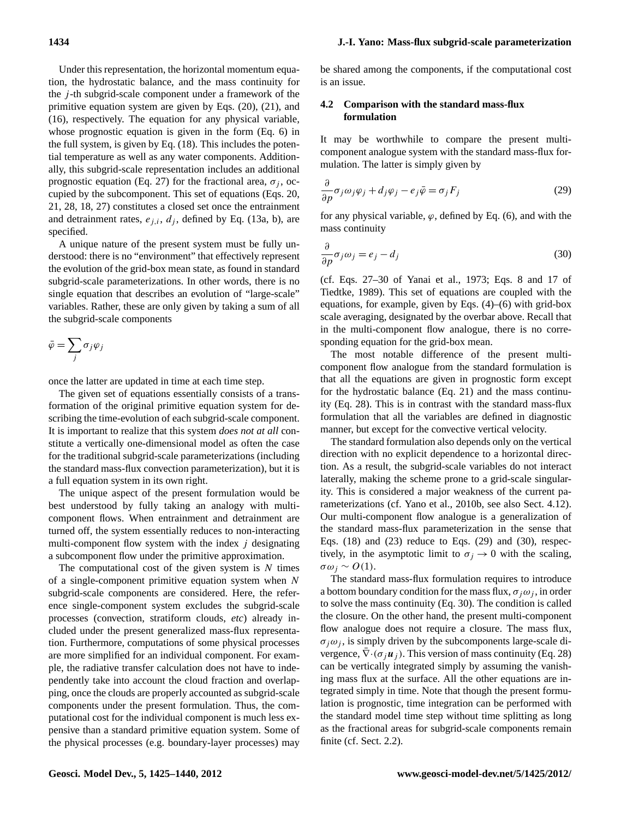Under this representation, the horizontal momentum equation, the hydrostatic balance, and the mass continuity for the  $j$ -th subgrid-scale component under a framework of the primitive equation system are given by Eqs. (20), (21), and (16), respectively. The equation for any physical variable, whose prognostic equation is given in the form (Eq. 6) in the full system, is given by Eq. (18). This includes the potential temperature as well as any water components. Additionally, this subgrid-scale representation includes an additional prognostic equation (Eq. 27) for the fractional area,  $\sigma_i$ , occupied by the subcomponent. This set of equations (Eqs. 20, 21, 28, 18, 27) constitutes a closed set once the entrainment and detrainment rates,  $e_{i,i}$ ,  $d_i$ , defined by Eq. (13a, b), are specified.

A unique nature of the present system must be fully understood: there is no "environment" that effectively represent the evolution of the grid-box mean state, as found in standard subgrid-scale parameterizations. In other words, there is no single equation that describes an evolution of "large-scale" variables. Rather, these are only given by taking a sum of all the subgrid-scale components

$$
\bar{\varphi} = \sum_j \sigma_j \varphi_j
$$

once the latter are updated in time at each time step.

The given set of equations essentially consists of a transformation of the original primitive equation system for describing the time-evolution of each subgrid-scale component. It is important to realize that this system *does not at all* constitute a vertically one-dimensional model as often the case for the traditional subgrid-scale parameterizations (including the standard mass-flux convection parameterization), but it is a full equation system in its own right.

The unique aspect of the present formulation would be best understood by fully taking an analogy with multicomponent flows. When entrainment and detrainment are turned off, the system essentially reduces to non-interacting multi-component flow system with the index  $j$  designating a subcomponent flow under the primitive approximation.

The computational cost of the given system is  $N$  times of a single-component primitive equation system when N subgrid-scale components are considered. Here, the reference single-component system excludes the subgrid-scale processes (convection, stratiform clouds, *etc*) already included under the present generalized mass-flux representation. Furthermore, computations of some physical processes are more simplified for an individual component. For example, the radiative transfer calculation does not have to independently take into account the cloud fraction and overlapping, once the clouds are properly accounted as subgrid-scale components under the present formulation. Thus, the computational cost for the individual component is much less expensive than a standard primitive equation system. Some of the physical processes (e.g. boundary-layer processes) may be shared among the components, if the computational cost is an issue.

## **4.2 Comparison with the standard mass-flux formulation**

It may be worthwhile to compare the present multicomponent analogue system with the standard mass-flux formulation. The latter is simply given by

$$
\frac{\partial}{\partial p}\sigma_j \omega_j \varphi_j + d_j \varphi_j - e_j \bar{\varphi} = \sigma_j F_j \tag{29}
$$

for any physical variable,  $\varphi$ , defined by Eq. (6), and with the mass continuity

$$
\frac{\partial}{\partial p}\sigma_j \omega_j = e_j - d_j \tag{30}
$$

(cf. Eqs. 27–30 of Yanai et al., 1973; Eqs. 8 and 17 of Tiedtke, 1989). This set of equations are coupled with the equations, for example, given by Eqs. (4)–(6) with grid-box scale averaging, designated by the overbar above. Recall that in the multi-component flow analogue, there is no corresponding equation for the grid-box mean.

The most notable difference of the present multicomponent flow analogue from the standard formulation is that all the equations are given in prognostic form except for the hydrostatic balance (Eq. 21) and the mass continuity (Eq. 28). This is in contrast with the standard mass-flux formulation that all the variables are defined in diagnostic manner, but except for the convective vertical velocity.

The standard formulation also depends only on the vertical direction with no explicit dependence to a horizontal direction. As a result, the subgrid-scale variables do not interact laterally, making the scheme prone to a grid-scale singularity. This is considered a major weakness of the current parameterizations (cf. [Yano et al.,](#page-15-4) [2010b,](#page-15-4) see also Sect. 4.12). Our multi-component flow analogue is a generalization of the standard mass-flux parameterization in the sense that Eqs. (18) and (23) reduce to Eqs. (29) and (30), respectively, in the asymptotic limit to  $\sigma_i \rightarrow 0$  with the scaling, σω<sup>j</sup> ∼ O(1).

The standard mass-flux formulation requires to introduce a bottom boundary condition for the mass flux,  $\sigma_i \omega_j$ , in order to solve the mass continuity (Eq. 30). The condition is called the closure. On the other hand, the present multi-component flow analogue does not require a closure. The mass flux,  $\sigma_j \omega_j$ , is simply driven by the subcomponents large-scale divergence,  $\nabla \cdot (\sigma_j \boldsymbol{u}_j)$ . This version of mass continuity (Eq. 28) can be vertically integrated simply by assuming the vanishing mass flux at the surface. All the other equations are integrated simply in time. Note that though the present formulation is prognostic, time integration can be performed with the standard model time step without time splitting as long as the fractional areas for subgrid-scale components remain finite (cf. Sect. 2.2).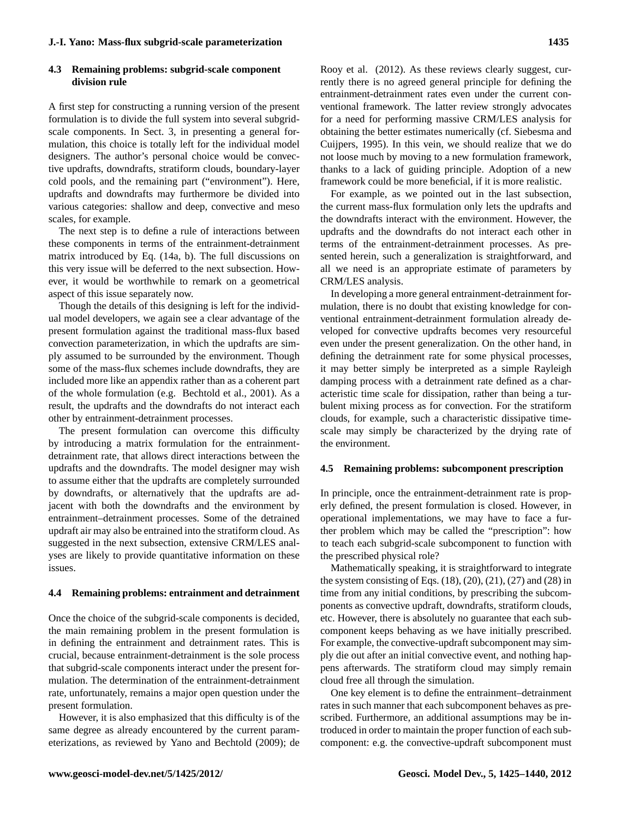# **4.3 Remaining problems: subgrid-scale component division rule**

A first step for constructing a running version of the present formulation is to divide the full system into several subgridscale components. In Sect. 3, in presenting a general formulation, this choice is totally left for the individual model designers. The author's personal choice would be convective updrafts, downdrafts, stratiform clouds, boundary-layer cold pools, and the remaining part ("environment"). Here, updrafts and downdrafts may furthermore be divided into various categories: shallow and deep, convective and meso scales, for example.

The next step is to define a rule of interactions between these components in terms of the entrainment-detrainment matrix introduced by Eq. (14a, b). The full discussions on this very issue will be deferred to the next subsection. However, it would be worthwhile to remark on a geometrical aspect of this issue separately now.

Though the details of this designing is left for the individual model developers, we again see a clear advantage of the present formulation against the traditional mass-flux based convection parameterization, in which the updrafts are simply assumed to be surrounded by the environment. Though some of the mass-flux schemes include downdrafts, they are included more like an appendix rather than as a coherent part of the whole formulation (e.g. [Bechtold et al.,](#page-14-17) [2001\)](#page-14-17). As a result, the updrafts and the downdrafts do not interact each other by entrainment-detrainment processes.

The present formulation can overcome this difficulty by introducing a matrix formulation for the entrainmentdetrainment rate, that allows direct interactions between the updrafts and the downdrafts. The model designer may wish to assume either that the updrafts are completely surrounded by downdrafts, or alternatively that the updrafts are adjacent with both the downdrafts and the environment by entrainment–detrainment processes. Some of the detrained updraft air may also be entrained into the stratiform cloud. As suggested in the next subsection, extensive CRM/LES analyses are likely to provide quantitative information on these issues.

#### **4.4 Remaining problems: entrainment and detrainment**

Once the choice of the subgrid-scale components is decided, the main remaining problem in the present formulation is in defining the entrainment and detrainment rates. This is crucial, because entrainment-detrainment is the sole process that subgrid-scale components interact under the present formulation. The determination of the entrainment-detrainment rate, unfortunately, remains a major open question under the present formulation.

However, it is also emphasized that this difficulty is of the same degree as already encountered by the current parameterizations, as reviewed by [Yano and Bechtold](#page-15-5) [\(2009\)](#page-15-5); [de](#page-14-18) [Rooy et al.](#page-14-18) [\(2012\)](#page-14-18). As these reviews clearly suggest, currently there is no agreed general principle for defining the entrainment-detrainment rates even under the current conventional framework. The latter review strongly advocates for a need for performing massive CRM/LES analysis for obtaining the better estimates numerically (cf. [Siebesma and](#page-14-19) [Cuijpers,](#page-14-19) [1995\)](#page-14-19). In this vein, we should realize that we do not loose much by moving to a new formulation framework, thanks to a lack of guiding principle. Adoption of a new framework could be more beneficial, if it is more realistic.

For example, as we pointed out in the last subsection, the current mass-flux formulation only lets the updrafts and the downdrafts interact with the environment. However, the updrafts and the downdrafts do not interact each other in terms of the entrainment-detrainment processes. As presented herein, such a generalization is straightforward, and all we need is an appropriate estimate of parameters by CRM/LES analysis.

In developing a more general entrainment-detrainment formulation, there is no doubt that existing knowledge for conventional entrainment-detrainment formulation already developed for convective updrafts becomes very resourceful even under the present generalization. On the other hand, in defining the detrainment rate for some physical processes, it may better simply be interpreted as a simple Rayleigh damping process with a detrainment rate defined as a characteristic time scale for dissipation, rather than being a turbulent mixing process as for convection. For the stratiform clouds, for example, such a characteristic dissipative timescale may simply be characterized by the drying rate of the environment.

#### **4.5 Remaining problems: subcomponent prescription**

In principle, once the entrainment-detrainment rate is properly defined, the present formulation is closed. However, in operational implementations, we may have to face a further problem which may be called the "prescription": how to teach each subgrid-scale subcomponent to function with the prescribed physical role?

Mathematically speaking, it is straightforward to integrate the system consisting of Eqs.  $(18)$ ,  $(20)$ ,  $(21)$ ,  $(27)$  and  $(28)$  in time from any initial conditions, by prescribing the subcomponents as convective updraft, downdrafts, stratiform clouds, etc. However, there is absolutely no guarantee that each subcomponent keeps behaving as we have initially prescribed. For example, the convective-updraft subcomponent may simply die out after an initial convective event, and nothing happens afterwards. The stratiform cloud may simply remain cloud free all through the simulation.

One key element is to define the entrainment–detrainment rates in such manner that each subcomponent behaves as prescribed. Furthermore, an additional assumptions may be introduced in order to maintain the proper function of each subcomponent: e.g. the convective-updraft subcomponent must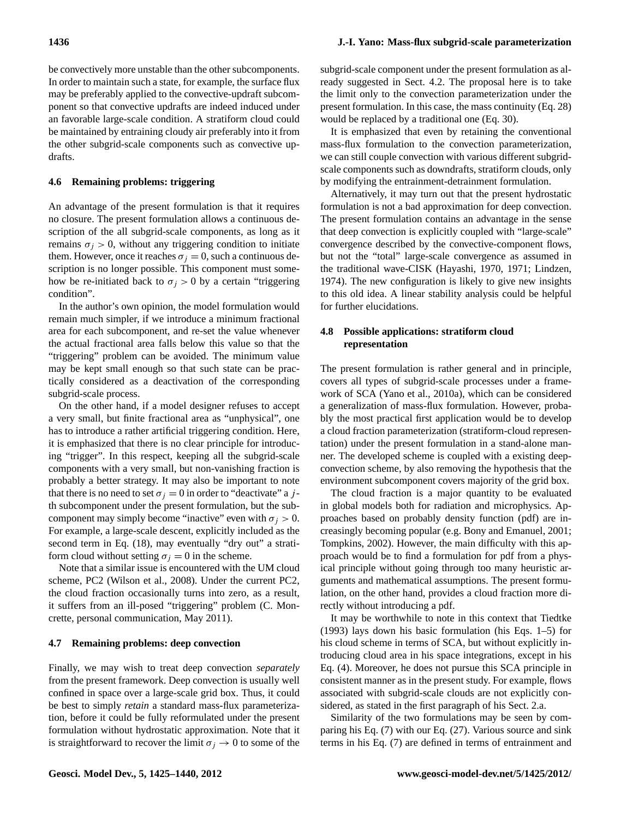be convectively more unstable than the other subcomponents. In order to maintain such a state, for example, the surface flux may be preferably applied to the convective-updraft subcomponent so that convective updrafts are indeed induced under an favorable large-scale condition. A stratiform cloud could be maintained by entraining cloudy air preferably into it from the other subgrid-scale components such as convective updrafts.

## **4.6 Remaining problems: triggering**

An advantage of the present formulation is that it requires no closure. The present formulation allows a continuous description of the all subgrid-scale components, as long as it remains  $\sigma_j > 0$ , without any triggering condition to initiate them. However, once it reaches  $\sigma_i = 0$ , such a continuous description is no longer possible. This component must somehow be re-initiated back to  $\sigma_j > 0$  by a certain "triggering" condition".

In the author's own opinion, the model formulation would remain much simpler, if we introduce a minimum fractional area for each subcomponent, and re-set the value whenever the actual fractional area falls below this value so that the "triggering" problem can be avoided. The minimum value may be kept small enough so that such state can be practically considered as a deactivation of the corresponding subgrid-scale process.

On the other hand, if a model designer refuses to accept a very small, but finite fractional area as "unphysical", one has to introduce a rather artificial triggering condition. Here, it is emphasized that there is no clear principle for introducing "trigger". In this respect, keeping all the subgrid-scale components with a very small, but non-vanishing fraction is probably a better strategy. It may also be important to note that there is no need to set  $\sigma_i = 0$  in order to "deactivate" a jth subcomponent under the present formulation, but the subcomponent may simply become "inactive" even with  $\sigma_i > 0$ . For example, a large-scale descent, explicitly included as the second term in Eq.  $(18)$ , may eventually "dry out" a stratiform cloud without setting  $\sigma_i = 0$  in the scheme.

Note that a similar issue is encountered with the UM cloud scheme, PC2 [\(Wilson et al.,](#page-14-20) [2008\)](#page-14-20). Under the current PC2, the cloud fraction occasionally turns into zero, as a result, it suffers from an ill-posed "triggering" problem (C. Moncrette, personal communication, May 2011).

#### **4.7 Remaining problems: deep convection**

Finally, we may wish to treat deep convection *separately* from the present framework. Deep convection is usually well confined in space over a large-scale grid box. Thus, it could be best to simply *retain* a standard mass-flux parameterization, before it could be fully reformulated under the present formulation without hydrostatic approximation. Note that it is straightforward to recover the limit  $\sigma_j \to 0$  to some of the subgrid-scale component under the present formulation as already suggested in Sect. 4.2. The proposal here is to take the limit only to the convection parameterization under the present formulation. In this case, the mass continuity (Eq. 28) would be replaced by a traditional one (Eq. 30).

It is emphasized that even by retaining the conventional mass-flux formulation to the convection parameterization, we can still couple convection with various different subgridscale components such as downdrafts, stratiform clouds, only by modifying the entrainment-detrainment formulation.

Alternatively, it may turn out that the present hydrostatic formulation is not a bad approximation for deep convection. The present formulation contains an advantage in the sense that deep convection is explicitly coupled with "large-scale" convergence described by the convective-component flows, but not the "total" large-scale convergence as assumed in the traditional wave-CISK [\(Hayashi,](#page-14-21) [1970,](#page-14-21) [1971;](#page-14-22) [Lindzen,](#page-14-23) [1974\)](#page-14-23). The new configuration is likely to give new insights to this old idea. A linear stability analysis could be helpful for further elucidations.

# **4.8 Possible applications: stratiform cloud representation**

The present formulation is rather general and in principle, covers all types of subgrid-scale processes under a framework of SCA [\(Yano et al.,](#page-15-1) [2010a\)](#page-15-1), which can be considered a generalization of mass-flux formulation. However, probably the most practical first application would be to develop a cloud fraction parameterization (stratiform-cloud representation) under the present formulation in a stand-alone manner. The developed scheme is coupled with a existing deepconvection scheme, by also removing the hypothesis that the environment subcomponent covers majority of the grid box.

The cloud fraction is a major quantity to be evaluated in global models both for radiation and microphysics. Approaches based on probably density function (pdf) are increasingly becoming popular (e.g. [Bony and Emanuel,](#page-14-24) [2001;](#page-14-24) [Tompkins,](#page-14-25) [2002\)](#page-14-25). However, the main difficulty with this approach would be to find a formulation for pdf from a physical principle without going through too many heuristic arguments and mathematical assumptions. The present formulation, on the other hand, provides a cloud fraction more directly without introducing a pdf.

It may be worthwhile to note in this context that [Tiedtke](#page-14-26) [\(1993\)](#page-14-26) lays down his basic formulation (his Eqs. 1–5) for his cloud scheme in terms of SCA, but without explicitly introducing cloud area in his space integrations, except in his Eq. (4). Moreover, he does not pursue this SCA principle in consistent manner as in the present study. For example, flows associated with subgrid-scale clouds are not explicitly considered, as stated in the first paragraph of his Sect. 2.a.

Similarity of the two formulations may be seen by comparing his Eq. (7) with our Eq. (27). Various source and sink terms in his Eq. (7) are defined in terms of entrainment and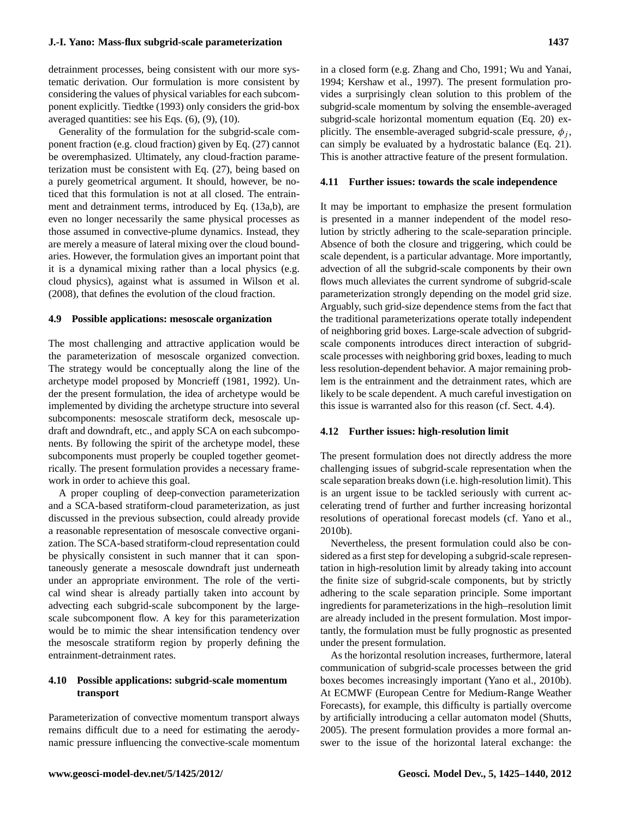detrainment processes, being consistent with our more systematic derivation. Our formulation is more consistent by considering the values of physical variables for each subcomponent explicitly. [Tiedtke](#page-14-26) [\(1993\)](#page-14-26) only considers the grid-box averaged quantities: see his Eqs. (6), (9), (10).

Generality of the formulation for the subgrid-scale component fraction (e.g. cloud fraction) given by Eq. (27) cannot be overemphasized. Ultimately, any cloud-fraction parameterization must be consistent with Eq. (27), being based on a purely geometrical argument. It should, however, be noticed that this formulation is not at all closed. The entrainment and detrainment terms, introduced by Eq. (13a,b), are even no longer necessarily the same physical processes as those assumed in convective-plume dynamics. Instead, they are merely a measure of lateral mixing over the cloud boundaries. However, the formulation gives an important point that it is a dynamical mixing rather than a local physics (e.g. cloud physics), against what is assumed in [Wilson et al.](#page-14-20) [\(2008\)](#page-14-20), that defines the evolution of the cloud fraction.

#### **4.9 Possible applications: mesoscale organization**

The most challenging and attractive application would be the parameterization of mesoscale organized convection. The strategy would be conceptually along the line of the archetype model proposed by [Moncrieff](#page-14-27) [\(1981,](#page-14-27) [1992\)](#page-14-28). Under the present formulation, the idea of archetype would be implemented by dividing the archetype structure into several subcomponents: mesoscale stratiform deck, mesoscale updraft and downdraft, etc., and apply SCA on each subcomponents. By following the spirit of the archetype model, these subcomponents must properly be coupled together geometrically. The present formulation provides a necessary framework in order to achieve this goal.

A proper coupling of deep-convection parameterization and a SCA-based stratiform-cloud parameterization, as just discussed in the previous subsection, could already provide a reasonable representation of mesoscale convective organization. The SCA-based stratiform-cloud representation could be physically consistent in such manner that it can spontaneously generate a mesoscale downdraft just underneath under an appropriate environment. The role of the vertical wind shear is already partially taken into account by advecting each subgrid-scale subcomponent by the largescale subcomponent flow. A key for this parameterization would be to mimic the shear intensification tendency over the mesoscale stratiform region by properly defining the entrainment-detrainment rates.

# **4.10 Possible applications: subgrid-scale momentum transport**

Parameterization of convective momentum transport always remains difficult due to a need for estimating the aerodynamic pressure influencing the convective-scale momentum in a closed form (e.g. [Zhang and Cho,](#page-15-6) [1991;](#page-15-6) [Wu and Yanai,](#page-14-29) [1994;](#page-14-29) [Kershaw et al.,](#page-14-30) [1997\)](#page-14-30). The present formulation provides a surprisingly clean solution to this problem of the subgrid-scale momentum by solving the ensemble-averaged subgrid-scale horizontal momentum equation (Eq. 20) explicitly. The ensemble-averaged subgrid-scale pressure,  $\phi_i$ , can simply be evaluated by a hydrostatic balance (Eq. 21). This is another attractive feature of the present formulation.

#### **4.11 Further issues: towards the scale independence**

It may be important to emphasize the present formulation is presented in a manner independent of the model resolution by strictly adhering to the scale-separation principle. Absence of both the closure and triggering, which could be scale dependent, is a particular advantage. More importantly, advection of all the subgrid-scale components by their own flows much alleviates the current syndrome of subgrid-scale parameterization strongly depending on the model grid size. Arguably, such grid-size dependence stems from the fact that the traditional parameterizations operate totally independent of neighboring grid boxes. Large-scale advection of subgridscale components introduces direct interaction of subgridscale processes with neighboring grid boxes, leading to much less resolution-dependent behavior. A major remaining problem is the entrainment and the detrainment rates, which are likely to be scale dependent. A much careful investigation on this issue is warranted also for this reason (cf. Sect. 4.4).

#### **4.12 Further issues: high-resolution limit**

The present formulation does not directly address the more challenging issues of subgrid-scale representation when the scale separation breaks down (i.e. high-resolution limit). This is an urgent issue to be tackled seriously with current accelerating trend of further and further increasing horizontal resolutions of operational forecast models (cf. [Yano et al.,](#page-15-4) [2010b\)](#page-15-4).

Nevertheless, the present formulation could also be considered as a first step for developing a subgrid-scale representation in high-resolution limit by already taking into account the finite size of subgrid-scale components, but by strictly adhering to the scale separation principle. Some important ingredients for parameterizations in the high–resolution limit are already included in the present formulation. Most importantly, the formulation must be fully prognostic as presented under the present formulation.

As the horizontal resolution increases, furthermore, lateral communication of subgrid-scale processes between the grid boxes becomes increasingly important [\(Yano et al.,](#page-15-4) [2010b\)](#page-15-4). At ECMWF (European Centre for Medium-Range Weather Forecasts), for example, this difficulty is partially overcome by artificially introducing a cellar automaton model [\(Shutts,](#page-14-31) [2005\)](#page-14-31). The present formulation provides a more formal answer to the issue of the horizontal lateral exchange: the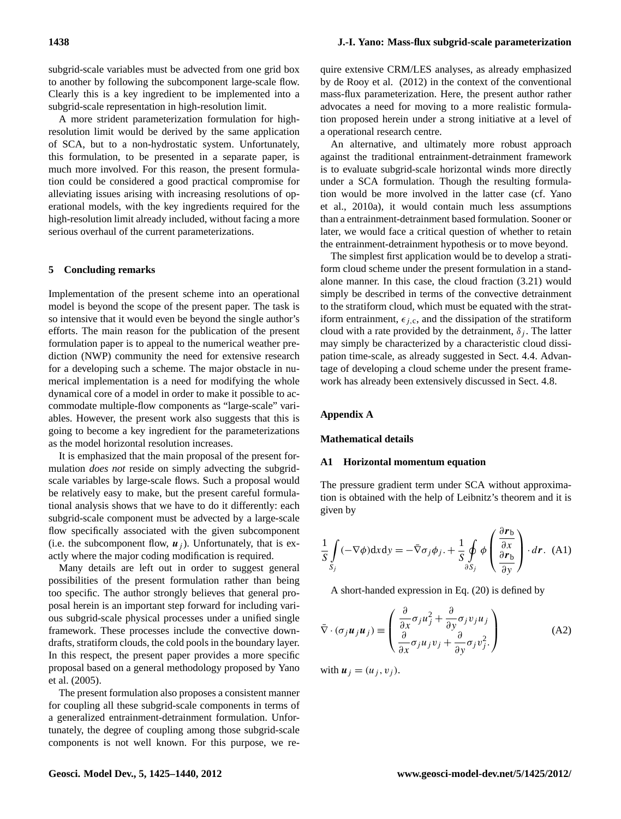subgrid-scale variables must be advected from one grid box to another by following the subcomponent large-scale flow. Clearly this is a key ingredient to be implemented into a subgrid-scale representation in high-resolution limit.

A more strident parameterization formulation for highresolution limit would be derived by the same application of SCA, but to a non-hydrostatic system. Unfortunately, this formulation, to be presented in a separate paper, is much more involved. For this reason, the present formulation could be considered a good practical compromise for alleviating issues arising with increasing resolutions of operational models, with the key ingredients required for the high-resolution limit already included, without facing a more serious overhaul of the current parameterizations.

#### **5 Concluding remarks**

Implementation of the present scheme into an operational model is beyond the scope of the present paper. The task is so intensive that it would even be beyond the single author's efforts. The main reason for the publication of the present formulation paper is to appeal to the numerical weather prediction (NWP) community the need for extensive research for a developing such a scheme. The major obstacle in numerical implementation is a need for modifying the whole dynamical core of a model in order to make it possible to accommodate multiple-flow components as "large-scale" variables. However, the present work also suggests that this is going to become a key ingredient for the parameterizations as the model horizontal resolution increases.

It is emphasized that the main proposal of the present formulation *does not* reside on simply advecting the subgridscale variables by large-scale flows. Such a proposal would be relatively easy to make, but the present careful formulational analysis shows that we have to do it differently: each subgrid-scale component must be advected by a large-scale flow specifically associated with the given subcomponent (i.e. the subcomponent flow,  $u_i$ ). Unfortunately, that is exactly where the major coding modification is required.

Many details are left out in order to suggest general possibilities of the present formulation rather than being too specific. The author strongly believes that general proposal herein is an important step forward for including various subgrid-scale physical processes under a unified single framework. These processes include the convective downdrafts, stratiform clouds, the cold pools in the boundary layer. In this respect, the present paper provides a more specific proposal based on a general methodology proposed by [Yano](#page-15-0) [et al.](#page-15-0) [\(2005\)](#page-15-0).

The present formulation also proposes a consistent manner for coupling all these subgrid-scale components in terms of a generalized entrainment-detrainment formulation. Unfortunately, the degree of coupling among those subgrid-scale components is not well known. For this purpose, we re-

quire extensive CRM/LES analyses, as already emphasized by [de Rooy et al.](#page-14-18) [\(2012\)](#page-14-18) in the context of the conventional mass-flux parameterization. Here, the present author rather advocates a need for moving to a more realistic formulation proposed herein under a strong initiative at a level of a operational research centre.

An alternative, and ultimately more robust approach against the traditional entrainment-detrainment framework is to evaluate subgrid-scale horizontal winds more directly under a SCA formulation. Though the resulting formulation would be more involved in the latter case (cf. [Yano](#page-15-1) [et al.,](#page-15-1) [2010a\)](#page-15-1), it would contain much less assumptions than a entrainment-detrainment based formulation. Sooner or later, we would face a critical question of whether to retain the entrainment-detrainment hypothesis or to move beyond.

The simplest first application would be to develop a stratiform cloud scheme under the present formulation in a standalone manner. In this case, the cloud fraction (3.21) would simply be described in terms of the convective detrainment to the stratiform cloud, which must be equated with the stratiform entrainment,  $\epsilon_{i,c}$ , and the dissipation of the stratiform cloud with a rate provided by the detrainment,  $\delta_i$ . The latter may simply be characterized by a characteristic cloud dissipation time-scale, as already suggested in Sect. 4.4. Advantage of developing a cloud scheme under the present framework has already been extensively discussed in Sect. 4.8.

## **Appendix A**

#### **Mathematical details**

#### **A1 Horizontal momentum equation**

The pressure gradient term under SCA without approximation is obtained with the help of Leibnitz's theorem and it is given by

$$
\frac{1}{S} \int_{S_j} (-\nabla \phi) dxdy = -\bar{\nabla} \sigma_j \phi_j. + \frac{1}{S} \oint_{\partial S_j} \phi \left( \frac{\frac{\partial \mathbf{r}_b}{\partial x}}{\frac{\partial \mathbf{r}_b}{\partial y}} \right) \cdot d\mathbf{r}.
$$
 (A1)

A short-handed expression in Eq. (20) is defined by

$$
\bar{\nabla} \cdot (\sigma_j \boldsymbol{u}_j \boldsymbol{u}_j) \equiv \begin{pmatrix} \frac{\partial}{\partial x} \sigma_j u_j^2 + \frac{\partial}{\partial y} \sigma_j v_j u_j \\ \frac{\partial}{\partial x} \sigma_j u_j v_j + \frac{\partial}{\partial y} \sigma_j v_j^2. \end{pmatrix}
$$
(A2)

with  $u_i = (u_i, v_i)$ .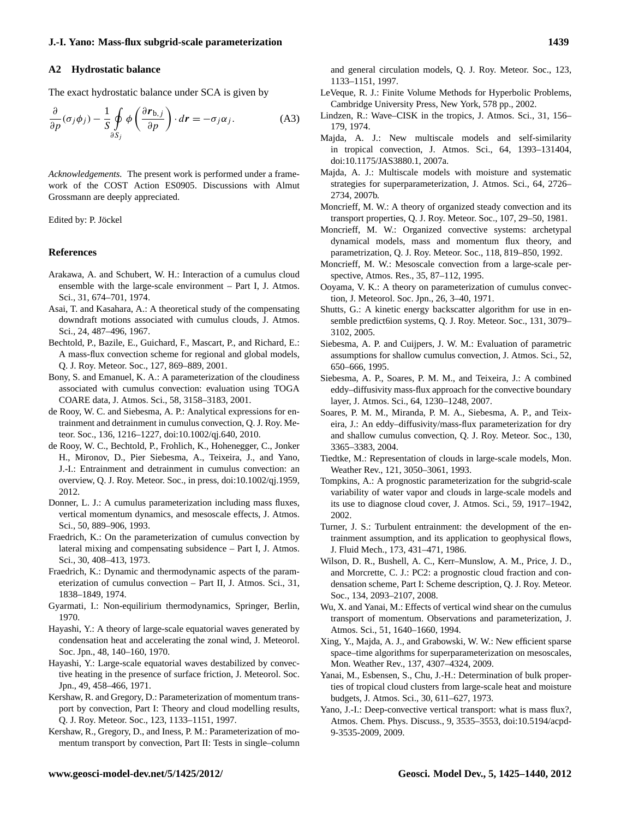#### **A2 Hydrostatic balance**

The exact hydrostatic balance under SCA is given by

$$
\frac{\partial}{\partial p}(\sigma_j \phi_j) - \frac{1}{S} \oint_{\partial S_j} \phi \left( \frac{\partial \mathbf{r}_{b,j}}{\partial p} \right) \cdot d\mathbf{r} = -\sigma_j \alpha_j. \tag{A3}
$$

*Acknowledgements.* The present work is performed under a framework of the COST Action ES0905. Discussions with Almut Grossmann are deeply appreciated.

Edited by: P. Jöckel

#### **References**

- <span id="page-14-3"></span>Arakawa, A. and Schubert, W. H.: Interaction of a cumulus cloud ensemble with the large-scale environment – Part I, J. Atmos. Sci., 31, 674–701, 1974.
- <span id="page-14-14"></span>Asai, T. and Kasahara, A.: A theoretical study of the compensating downdraft motions associated with cumulus clouds, J. Atmos. Sci., 24, 487–496, 1967.
- <span id="page-14-17"></span>Bechtold, P., Bazile, E., Guichard, F., Mascart, P., and Richard, E.: A mass-flux convection scheme for regional and global models, Q. J. Roy. Meteor. Soc., 127, 869–889, 2001.
- <span id="page-14-24"></span>Bony, S. and Emanuel, K. A.: A parameterization of the cloudiness associated with cumulus convection: evaluation using TOGA COARE data, J. Atmos. Sci., 58, 3158–3183, 2001.
- <span id="page-14-16"></span>de Rooy, W. C. and Siebesma, A. P.: Analytical expressions for entrainment and detrainment in cumulus convection, Q. J. Roy. Meteor. Soc., 136, 1216–1227, [doi:10.1002/qj.640,](http://dx.doi.org/10.1002/qj.640) 2010.
- <span id="page-14-18"></span>de Rooy, W. C., Bechtold, P., Frohlich, K., Hohenegger, C., Jonker H., Mironov, D., Pier Siebesma, A., Teixeira, J., and Yano, J.-I.: Entrainment and detrainment in cumulus convection: an overview, Q. J. Roy. Meteor. Soc., in press, [doi:10.1002/qj.1959,](http://dx.doi.org/10.1002/qj.1959) 2012.
- <span id="page-14-5"></span>Donner, L. J.: A cumulus parameterization including mass fluxes, vertical momentum dynamics, and mesoscale effects, J. Atmos. Sci., 50, 889–906, 1993.
- <span id="page-14-1"></span>Fraedrich, K.: On the parameterization of cumulus convection by lateral mixing and compensating subsidence – Part I, J. Atmos. Sci., 30, 408–413, 1973.
- <span id="page-14-2"></span>Fraedrich, K.: Dynamic and thermodynamic aspects of the parameterization of cumulus convection – Part II, J. Atmos. Sci., 31, 1838–1849, 1974.
- <span id="page-14-7"></span>Gyarmati, I.: Non-equilirium thermodynamics, Springer, Berlin, 1970.
- <span id="page-14-21"></span>Hayashi, Y.: A theory of large-scale equatorial waves generated by condensation heat and accelerating the zonal wind, J. Meteorol. Soc. Jpn., 48, 140–160, 1970.
- <span id="page-14-22"></span>Hayashi, Y.: Large-scale equatorial waves destabilized by convective heating in the presence of surface friction, J. Meteorol. Soc. Jpn., 49, 458–466, 1971.
- Kershaw, R. and Gregory, D.: Parameterization of momentum transport by convection, Part I: Theory and cloud modelling results, Q. J. Roy. Meteor. Soc., 123, 1133–1151, 1997.
- <span id="page-14-30"></span>Kershaw, R., Gregory, D., and Iness, P. M.: Parameterization of momentum transport by convection, Part II: Tests in single–column

and general circulation models, Q. J. Roy. Meteor. Soc., 123, 1133–1151, 1997.

- <span id="page-14-6"></span>LeVeque, R. J.: Finite Volume Methods for Hyperbolic Problems, Cambridge University Press, New York, 578 pp., 2002.
- <span id="page-14-23"></span>Lindzen, R.: Wave–CISK in the tropics, J. Atmos. Sci., 31, 156– 179, 1974.
- <span id="page-14-8"></span>Majda, A. J.: New multiscale models and self-similarity in tropical convection, J. Atmos. Sci., 64, 1393–131404, [doi:10.1175/JAS3880.1,](http://dx.doi.org/10.1175/JAS3880.1) 2007a.
- Majda, A. J.: Multiscale models with moisture and systematic strategies for superparameterization, J. Atmos. Sci., 64, 2726– 2734, 2007b.
- <span id="page-14-27"></span>Moncrieff, M. W.: A theory of organized steady convection and its transport properties, Q. J. Roy. Meteor. Soc., 107, 29–50, 1981.
- <span id="page-14-28"></span>Moncrieff, M. W.: Organized convective systems: archetypal dynamical models, mass and momentum flux theory, and parametrization, Q. J. Roy. Meteor. Soc., 118, 819–850, 1992.
- <span id="page-14-4"></span>Moncrieff, M. W.: Mesoscale convection from a large-scale perspective, Atmos. Res., 35, 87–112, 1995.
- <span id="page-14-0"></span>Ooyama, V. K.: A theory on parameterization of cumulus convection, J. Meteorol. Soc. Jpn., 26, 3–40, 1971.
- <span id="page-14-31"></span>Shutts, G.: A kinetic energy backscatter algorithm for use in ensemble predict6ion systems, Q. J. Roy. Meteor. Soc., 131, 3079– 3102, 2005.
- <span id="page-14-19"></span>Siebesma, A. P. and Cuijpers, J. W. M.: Evaluation of parametric assumptions for shallow cumulus convection, J. Atmos. Sci., 52, 650–666, 1995.
- <span id="page-14-13"></span>Siebesma, A. P., Soares, P. M. M., and Teixeira, J.: A combined eddy–diffusivity mass-flux approach for the convective boundary layer, J. Atmos. Sci., 64, 1230–1248, 2007.
- <span id="page-14-12"></span>Soares, P. M. M., Miranda, P. M. A., Siebesma, A. P., and Teixeira, J.: An eddy–diffusivity/mass-flux parameterization for dry and shallow cumulus convection, Q. J. Roy. Meteor. Soc., 130, 3365–3383, 2004.
- <span id="page-14-26"></span>Tiedtke, M.: Representation of clouds in large-scale models, Mon. Weather Rev., 121, 3050–3061, 1993.
- <span id="page-14-25"></span>Tompkins, A.: A prognostic parameterization for the subgrid-scale variability of water vapor and clouds in large-scale models and its use to diagnose cloud cover, J. Atmos. Sci., 59, 1917–1942, 2002.
- <span id="page-14-15"></span>Turner, J. S.: Turbulent entrainment: the development of the entrainment assumption, and its application to geophysical flows, J. Fluid Mech., 173, 431–471, 1986.

<span id="page-14-20"></span>Wilson, D. R., Bushell, A. C., Kerr–Munslow, A. M., Price, J. D., and Morcrette, C. J.: PC2: a prognostic cloud fraction and condensation scheme, Part I: Scheme description, Q. J. Roy. Meteor. Soc., 134, 2093–2107, 2008.

- <span id="page-14-29"></span>Wu, X. and Yanai, M.: Effects of vertical wind shear on the cumulus transport of momentum. Observations and parameterization, J. Atmos. Sci., 51, 1640–1660, 1994.
- <span id="page-14-9"></span>Xing, Y., Majda, A. J., and Grabowski, W. W.: New efficient sparse space–time algorithms for superparameterization on mesoscales, Mon. Weather Rev., 137, 4307–4324, 2009.
- <span id="page-14-11"></span>Yanai, M., Esbensen, S., Chu, J.-H.: Determination of bulk properties of tropical cloud clusters from large-scale heat and moisture budgets, J. Atmos. Sci., 30, 611–627, 1973.
- <span id="page-14-10"></span>Yano, J.-I.: Deep-convective vertical transport: what is mass flux?, Atmos. Chem. Phys. Discuss., 9, 3535–3553, [doi:10.5194/acpd-](http://dx.doi.org/10.5194/acpd-9-3535-2009)[9-3535-2009,](http://dx.doi.org/10.5194/acpd-9-3535-2009) 2009.